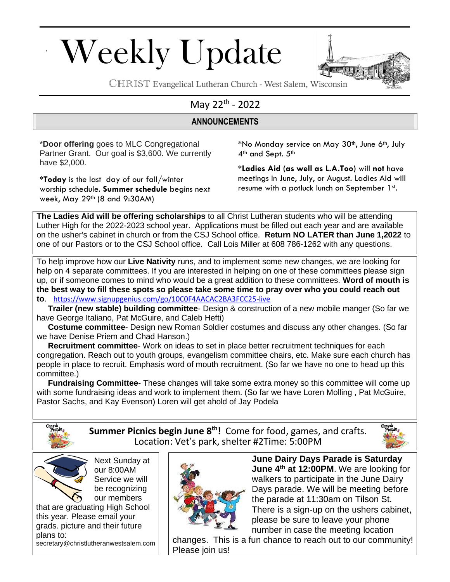# Weekly Update



CHRIST Evangelical Lutheran Church - West Salem, Wisconsin

## May 22<sup>th</sup> - 2022

#### **ANNOUNCEMENTS**

\***Door offering** goes to MLC Congregational Partner Grant. Our goal is \$3,600. We currently have \$2,000.

**\*Today** is the last day of our fall/winter worship schedule. **Summer schedule** begins next week, May 29th (8 and 9:30AM)

**\***No Monday service on May 30th, June 6th, July 4<sup>th</sup> and Sept. 5<sup>th</sup>

**\*Ladies Aid (as well as L.A.Too)** will **not** have meetings in June, July, or August. Ladies Aid will resume with a potluck lunch on September 1st.

**The Ladies Aid will be offering scholarships** to all Christ Lutheran students who will be attending Luther High for the 2022-2023 school year. Applications must be filled out each year and are available on the usher's cabinet in church or from the CSJ School office. **Return NO LATER than June 1,2022** to one of our Pastors or to the CSJ School office. Call Lois Miller at 608 786-1262 with any questions.

To help improve how our **Live Nativity** runs, and to implement some new changes, we are looking for help on 4 separate committees. If you are interested in helping on one of these committees please sign up, or if someone comes to mind who would be a great addition to these committees. **Word of mouth is the best way to fill these spots so please take some time to pray over who you could reach out to**. <https://www.signupgenius.com/go/10C0F4AACAC2BA3FCC25-live>

 **Trailer (new stable) building committee**- Design & construction of a new mobile manger (So far we have George Italiano, Pat McGuire, and Caleb Hefti)

 **Costume committee**- Design new Roman Soldier costumes and discuss any other changes. (So far we have Denise Priem and Chad Hanson.)

 **Recruitment committee**- Work on ideas to set in place better recruitment techniques for each congregation. Reach out to youth groups, evangelism committee chairs, etc. Make sure each church has people in place to recruit. Emphasis word of mouth recruitment. (So far we have no one to head up this committee.)

 **Fundraising Committee**- These changes will take some extra money so this committee will come up with some fundraising ideas and work to implement them. (So far we have Loren Molling , Pat McGuire, Pastor Sachs, and Kay Evenson) Loren will get ahold of Jay Podela



**Summer Picnics begin June 8 th!** Come for food, games, and crafts. Location: Vet's park, shelter #2Time: 5:00PM





Next Sunday at our 8:00AM Service we will be recognizing our members

that are graduating High School this year. Please email your grads. picture and their future plans to:

secretary@christlutheranwestsalem.com



**June Dairy Days Parade is Saturday June 4th at 12:00PM**. We are looking for walkers to participate in the June Dairy Days parade. We will be meeting before the parade at 11:30am on Tilson St. There is a sign-up on the ushers cabinet, please be sure to leave your phone number in case the meeting location

changes. This is a fun chance to reach out to our community! Please join us!